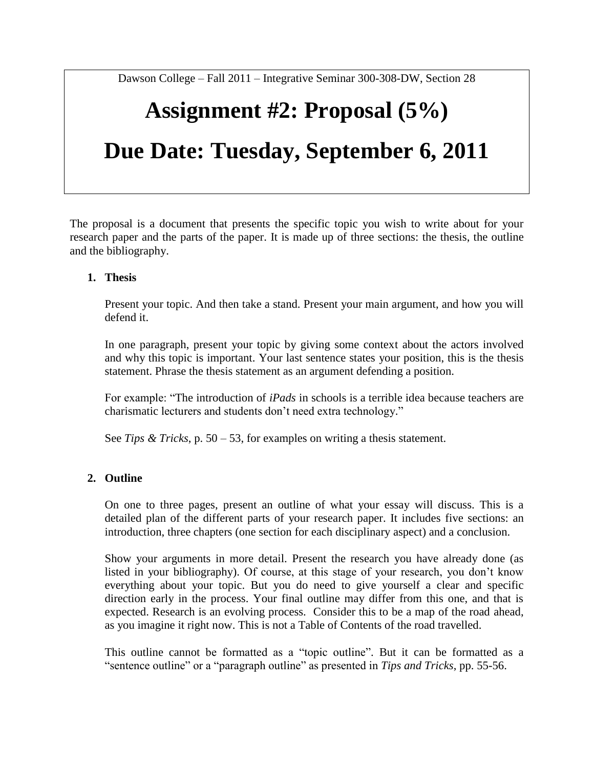Dawson College – Fall 2011 – Integrative Seminar 300-308-DW, Section 28

# **Assignment #2: Proposal (5%) Due Date: Tuesday, September 6, 2011**

The proposal is a document that presents the specific topic you wish to write about for your research paper and the parts of the paper. It is made up of three sections: the thesis, the outline and the bibliography.

#### **1. Thesis**

Present your topic. And then take a stand. Present your main argument, and how you will defend it.

In one paragraph, present your topic by giving some context about the actors involved and why this topic is important. Your last sentence states your position, this is the thesis statement. Phrase the thesis statement as an argument defending a position.

For example: "The introduction of *iPads* in schools is a terrible idea because teachers are charismatic lecturers and students don't need extra technology."

See *Tips & Tricks*, p. 50 – 53, for examples on writing a thesis statement.

#### **2. Outline**

On one to three pages, present an outline of what your essay will discuss. This is a detailed plan of the different parts of your research paper. It includes five sections: an introduction, three chapters (one section for each disciplinary aspect) and a conclusion.

Show your arguments in more detail. Present the research you have already done (as listed in your bibliography). Of course, at this stage of your research, you don't know everything about your topic. But you do need to give yourself a clear and specific direction early in the process. Your final outline may differ from this one, and that is expected. Research is an evolving process. Consider this to be a map of the road ahead, as you imagine it right now. This is not a Table of Contents of the road travelled.

This outline cannot be formatted as a "topic outline". But it can be formatted as a "sentence outline" or a "paragraph outline" as presented in *Tips and Tricks*, pp. 55-56.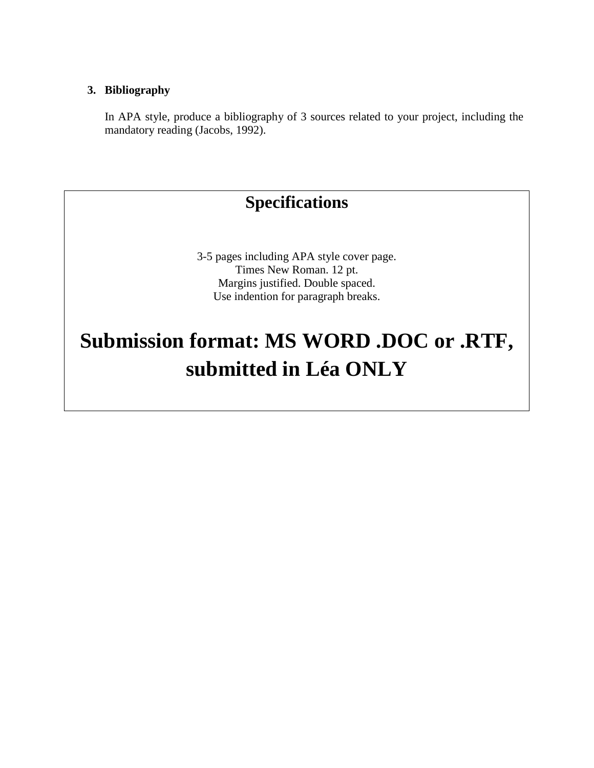#### **3. Bibliography**

In APA style, produce a bibliography of 3 sources related to your project, including the mandatory reading (Jacobs, 1992).

### **Specifications**

3-5 pages including APA style cover page. Times New Roman. 12 pt. Margins justified. Double spaced. Use indention for paragraph breaks.

## **Submission format: MS WORD .DOC or .RTF, submitted in Léa ONLY**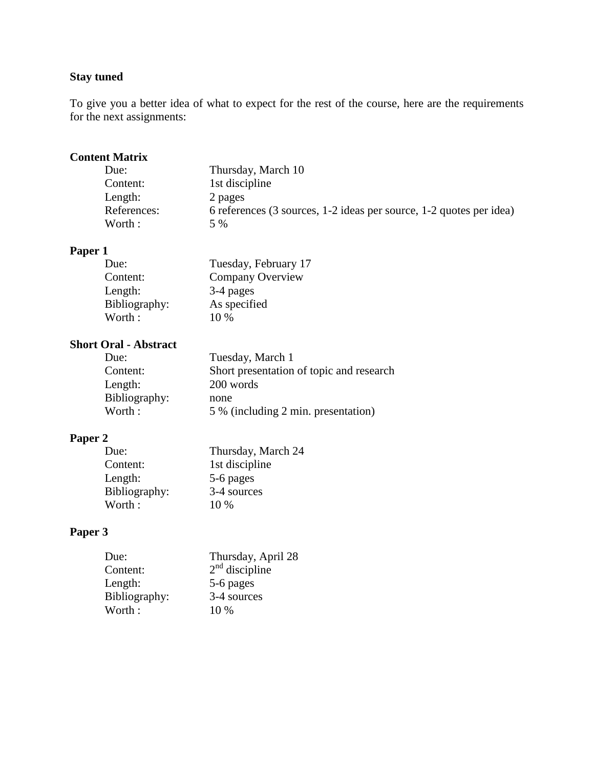#### **Stay tuned**

To give you a better idea of what to expect for the rest of the course, here are the requirements for the next assignments:

#### **Content Matrix**

| Thursday, March 10                                                  |
|---------------------------------------------------------------------|
| 1st discipline                                                      |
| 2 pages                                                             |
| 6 references (3 sources, 1-2 ideas per source, 1-2 quotes per idea) |
| 5 %                                                                 |
|                                                                     |

### **Paper 1**

| Tuesday, February 17    |
|-------------------------|
| <b>Company Overview</b> |
| 3-4 pages               |
| As specified            |
| $10\%$                  |
|                         |

#### **Short Oral - Abstract**

| Tuesday, March 1                         |
|------------------------------------------|
| Short presentation of topic and research |
| 200 words                                |
| none                                     |
| 5 % (including 2 min. presentation)      |
|                                          |

#### **Paper 2**

| Due:          | Thursday, March 24 |
|---------------|--------------------|
| Content:      | 1st discipline     |
| Length:       | 5-6 pages          |
| Bibliography: | 3-4 sources        |
| Worth:        | $10\%$             |

#### **Paper 3**

| Due:          | Thursday, April 28 |
|---------------|--------------------|
| Content:      | $2nd$ discipline   |
| Length:       | 5-6 pages          |
| Bibliography: | 3-4 sources        |
| Worth:        | $10\%$             |